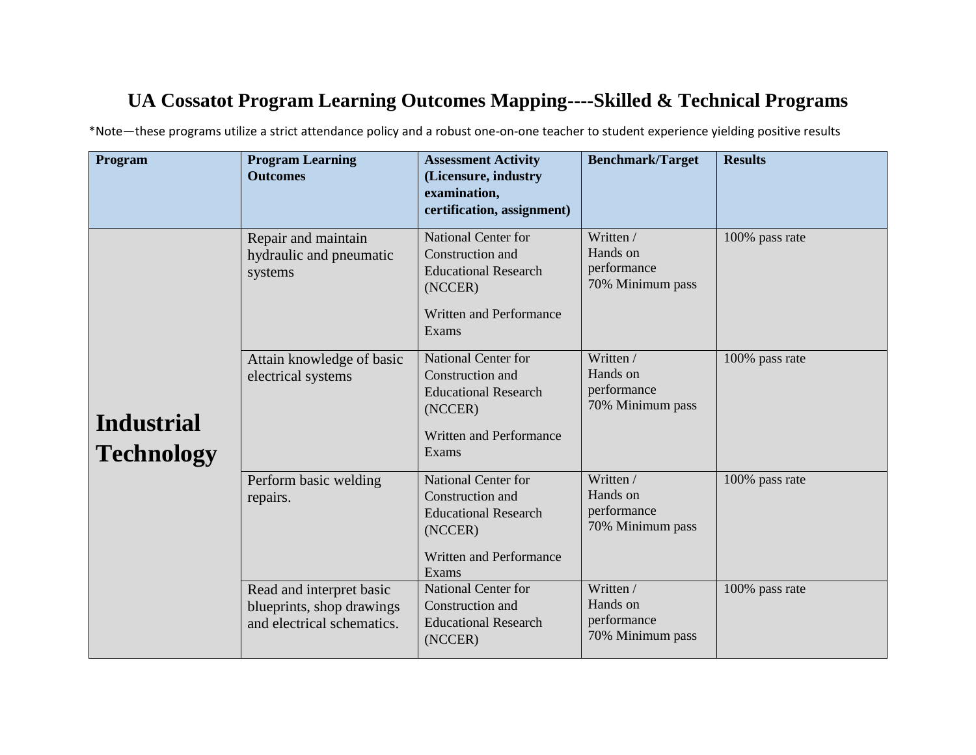## **UA Cossatot Program Learning Outcomes Mapping----Skilled & Technical Programs**

\*Note—these programs utilize a strict attendance policy and a robust one-on-one teacher to student experience yielding positive results

| Program                                | <b>Program Learning</b><br><b>Outcomes</b>                                          | <b>Assessment Activity</b><br>(Licensure, industry<br>examination,<br>certification, assignment)                                    | <b>Benchmark/Target</b>                                  | <b>Results</b> |
|----------------------------------------|-------------------------------------------------------------------------------------|-------------------------------------------------------------------------------------------------------------------------------------|----------------------------------------------------------|----------------|
|                                        | Repair and maintain<br>hydraulic and pneumatic<br>systems                           | <b>National Center for</b><br>Construction and<br><b>Educational Research</b><br>(NCCER)<br><b>Written and Performance</b><br>Exams | Written /<br>Hands on<br>performance<br>70% Minimum pass | 100% pass rate |
| <b>Industrial</b><br><b>Technology</b> | Attain knowledge of basic<br>electrical systems                                     | <b>National Center for</b><br>Construction and<br><b>Educational Research</b><br>(NCCER)<br><b>Written and Performance</b><br>Exams | Written /<br>Hands on<br>performance<br>70% Minimum pass | 100% pass rate |
|                                        | Perform basic welding<br>repairs.                                                   | <b>National Center for</b><br>Construction and<br><b>Educational Research</b><br>(NCCER)<br><b>Written and Performance</b><br>Exams | Written /<br>Hands on<br>performance<br>70% Minimum pass | 100% pass rate |
|                                        | Read and interpret basic<br>blueprints, shop drawings<br>and electrical schematics. | <b>National Center for</b><br>Construction and<br><b>Educational Research</b><br>(NCCER)                                            | Written /<br>Hands on<br>performance<br>70% Minimum pass | 100% pass rate |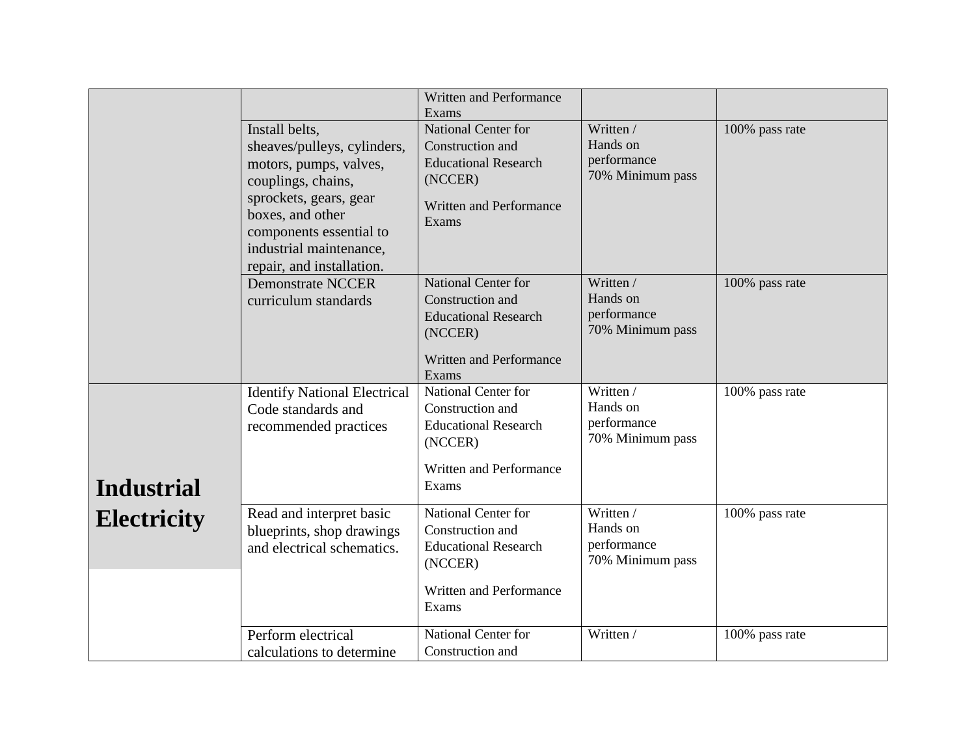|                    |                                                                                                                                                                                                                                | Written and Performance<br>Exams                                                                                             |                                                          |                |
|--------------------|--------------------------------------------------------------------------------------------------------------------------------------------------------------------------------------------------------------------------------|------------------------------------------------------------------------------------------------------------------------------|----------------------------------------------------------|----------------|
|                    | Install belts,<br>sheaves/pulleys, cylinders,<br>motors, pumps, valves,<br>couplings, chains,<br>sprockets, gears, gear<br>boxes, and other<br>components essential to<br>industrial maintenance,<br>repair, and installation. | National Center for<br>Construction and<br><b>Educational Research</b><br>(NCCER)<br>Written and Performance<br>Exams        | Written /<br>Hands on<br>performance<br>70% Minimum pass | 100% pass rate |
|                    | <b>Demonstrate NCCER</b><br>curriculum standards                                                                                                                                                                               | <b>National Center for</b><br>Construction and<br><b>Educational Research</b><br>(NCCER)<br>Written and Performance<br>Exams | Written /<br>Hands on<br>performance<br>70% Minimum pass | 100% pass rate |
| <b>Industrial</b>  | <b>Identify National Electrical</b><br>Code standards and<br>recommended practices                                                                                                                                             | National Center for<br>Construction and<br><b>Educational Research</b><br>(NCCER)<br>Written and Performance<br>Exams        | Written /<br>Hands on<br>performance<br>70% Minimum pass | 100% pass rate |
| <b>Electricity</b> | Read and interpret basic<br>blueprints, shop drawings<br>and electrical schematics.                                                                                                                                            | National Center for<br>Construction and<br><b>Educational Research</b><br>(NCCER)<br>Written and Performance<br>Exams        | Written /<br>Hands on<br>performance<br>70% Minimum pass | 100% pass rate |
|                    | Perform electrical<br>calculations to determine                                                                                                                                                                                | National Center for<br>Construction and                                                                                      | Written /                                                | 100% pass rate |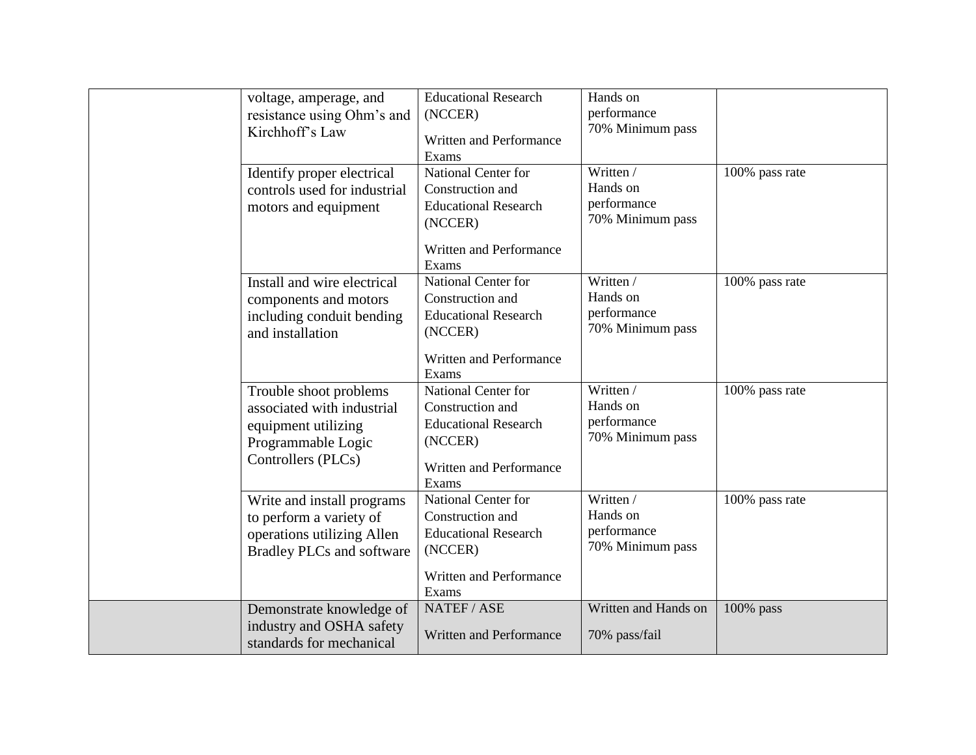| voltage, amperage, and<br>resistance using Ohm's and<br>Kirchhoff's Law<br>Identify proper electrical<br>controls used for industrial<br>motors and equipment | <b>Educational Research</b><br>(NCCER)<br>Written and Performance<br>Exams<br>National Center for<br>Construction and<br><b>Educational Research</b><br>(NCCER)<br>Written and Performance | Hands on<br>performance<br>70% Minimum pass<br>Written /<br>Hands on<br>performance<br>70% Minimum pass | 100% pass rate |
|---------------------------------------------------------------------------------------------------------------------------------------------------------------|--------------------------------------------------------------------------------------------------------------------------------------------------------------------------------------------|---------------------------------------------------------------------------------------------------------|----------------|
| Install and wire electrical<br>components and motors<br>including conduit bending<br>and installation                                                         | Exams<br>National Center for<br>Construction and<br><b>Educational Research</b><br>(NCCER)<br>Written and Performance<br>Exams                                                             | Written /<br>Hands on<br>performance<br>70% Minimum pass                                                | 100% pass rate |
| Trouble shoot problems<br>associated with industrial<br>equipment utilizing<br>Programmable Logic<br>Controllers (PLCs)                                       | National Center for<br>Construction and<br><b>Educational Research</b><br>(NCCER)<br>Written and Performance<br>Exams                                                                      | Written /<br>Hands on<br>performance<br>70% Minimum pass                                                | 100% pass rate |
| Write and install programs<br>to perform a variety of<br>operations utilizing Allen<br><b>Bradley PLCs and software</b>                                       | National Center for<br>Construction and<br><b>Educational Research</b><br>(NCCER)<br>Written and Performance<br>Exams                                                                      | Written /<br>Hands on<br>performance<br>70% Minimum pass                                                | 100% pass rate |
| Demonstrate knowledge of<br>industry and OSHA safety<br>standards for mechanical                                                                              | NATEF/ASE<br>Written and Performance                                                                                                                                                       | Written and Hands on<br>70% pass/fail                                                                   | 100% pass      |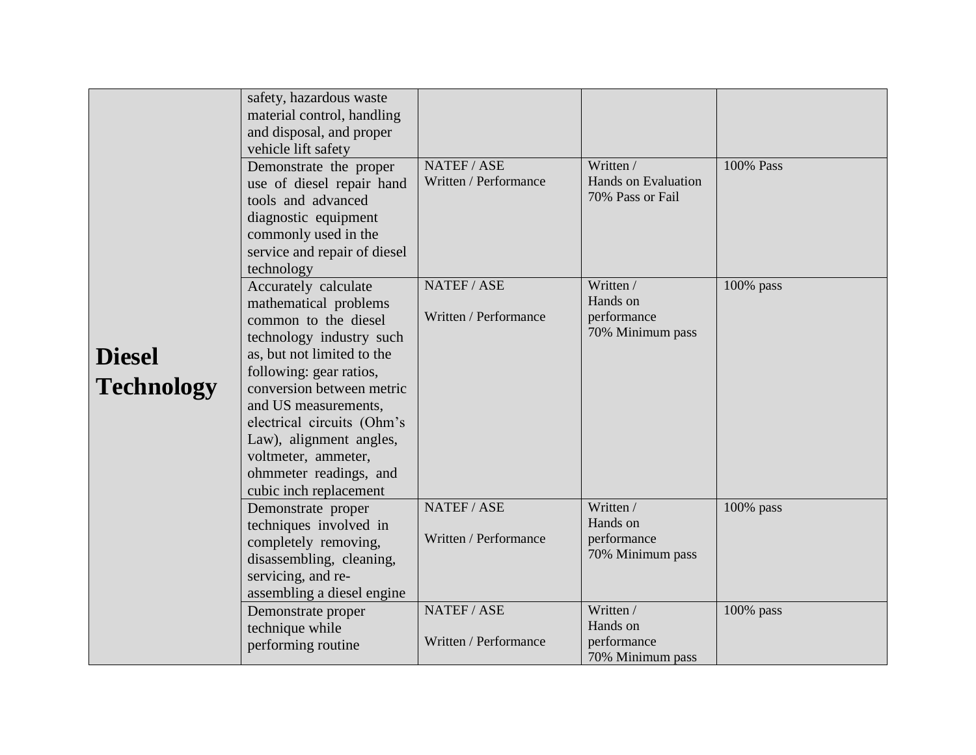|                                    | safety, hazardous waste<br>material control, handling<br>and disposal, and proper<br>vehicle lift safety<br>Demonstrate the proper<br>use of diesel repair hand<br>tools and advanced<br>diagnostic equipment<br>commonly used in the<br>service and repair of diesel<br>technology                                                                 | NATEF / ASE<br>Written / Performance | Written /<br><b>Hands on Evaluation</b><br>70% Pass or Fail | 100% Pass |
|------------------------------------|-----------------------------------------------------------------------------------------------------------------------------------------------------------------------------------------------------------------------------------------------------------------------------------------------------------------------------------------------------|--------------------------------------|-------------------------------------------------------------|-----------|
| <b>Diesel</b><br><b>Technology</b> | Accurately calculate<br>mathematical problems<br>common to the diesel<br>technology industry such<br>as, but not limited to the<br>following: gear ratios,<br>conversion between metric<br>and US measurements,<br>electrical circuits (Ohm's<br>Law), alignment angles,<br>voltmeter, ammeter,<br>ohmmeter readings, and<br>cubic inch replacement | NATEF / ASE<br>Written / Performance | Written /<br>Hands on<br>performance<br>70% Minimum pass    | 100% pass |
|                                    | Demonstrate proper<br>techniques involved in<br>completely removing,<br>disassembling, cleaning,<br>servicing, and re-<br>assembling a diesel engine                                                                                                                                                                                                | NATEF / ASE<br>Written / Performance | Written /<br>Hands on<br>performance<br>70% Minimum pass    | 100% pass |
|                                    | Demonstrate proper<br>technique while<br>performing routine                                                                                                                                                                                                                                                                                         | NATEF / ASE<br>Written / Performance | Written /<br>Hands on<br>performance<br>70% Minimum pass    | 100% pass |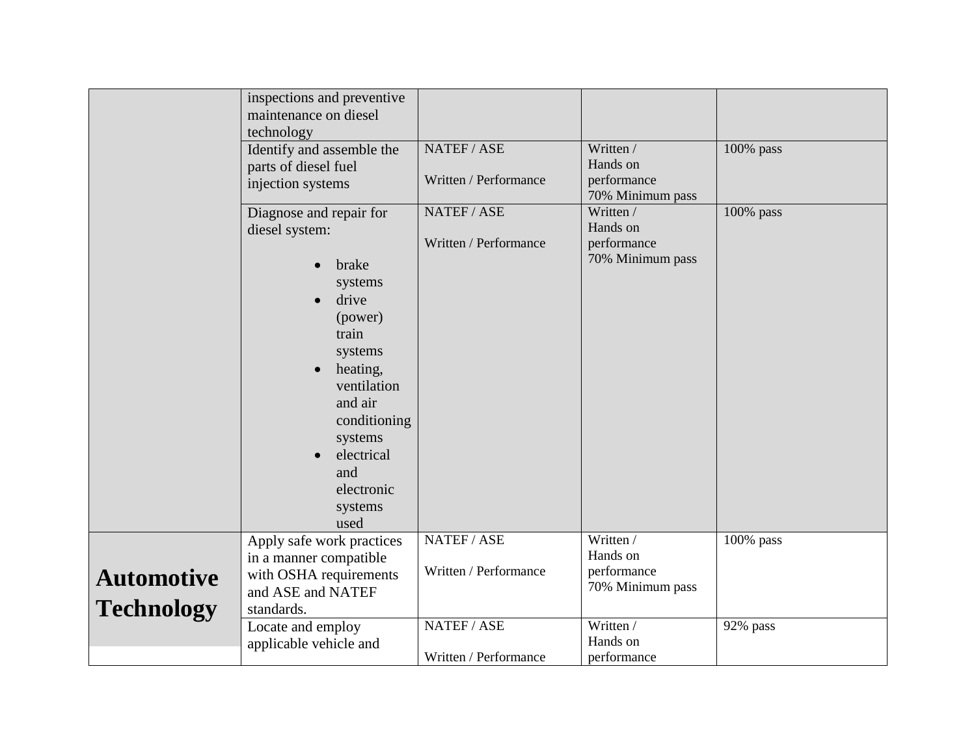|                                        | inspections and preventive<br>maintenance on diesel<br>technology<br>Identify and assemble the<br>parts of diesel fuel<br>injection systems                                                                                                                                      | NATEF / ASE<br>Written / Performance | Written /<br>Hands on<br>performance<br>70% Minimum pass | 100% pass |
|----------------------------------------|----------------------------------------------------------------------------------------------------------------------------------------------------------------------------------------------------------------------------------------------------------------------------------|--------------------------------------|----------------------------------------------------------|-----------|
|                                        | Diagnose and repair for<br>diesel system:<br>brake<br>$\bullet$<br>systems<br>drive<br>$\bullet$<br>(power)<br>train<br>systems<br>heating,<br>$\bullet$<br>ventilation<br>and air<br>conditioning<br>systems<br>electrical<br>$\bullet$<br>and<br>electronic<br>systems<br>used | NATEF/ASE<br>Written / Performance   | Written /<br>Hands on<br>performance<br>70% Minimum pass | 100% pass |
| <b>Automotive</b><br><b>Technology</b> | Apply safe work practices<br>in a manner compatible<br>with OSHA requirements<br>and ASE and NATEF<br>standards.                                                                                                                                                                 | NATEF / ASE<br>Written / Performance | Written /<br>Hands on<br>performance<br>70% Minimum pass | 100% pass |
|                                        | Locate and employ<br>applicable vehicle and                                                                                                                                                                                                                                      | NATEF / ASE<br>Written / Performance | Written /<br>Hands on<br>performance                     | 92% pass  |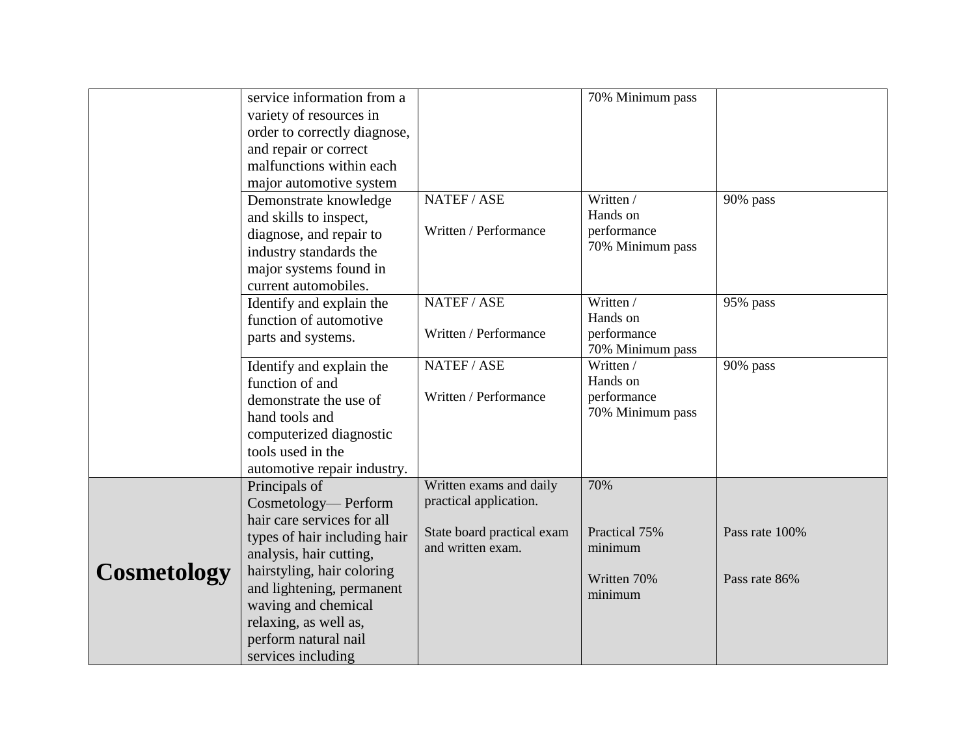|                    | service information from a<br>variety of resources in<br>order to correctly diagnose,<br>and repair or correct<br>malfunctions within each<br>major automotive system<br>Demonstrate knowledge | NATEF/ASE                                                                                            | 70% Minimum pass<br>Written /                            | 90% pass       |
|--------------------|------------------------------------------------------------------------------------------------------------------------------------------------------------------------------------------------|------------------------------------------------------------------------------------------------------|----------------------------------------------------------|----------------|
|                    | and skills to inspect,<br>diagnose, and repair to<br>industry standards the<br>major systems found in<br>current automobiles.                                                                  | Written / Performance                                                                                | Hands on<br>performance<br>70% Minimum pass              |                |
|                    | Identify and explain the<br>function of automotive<br>parts and systems.                                                                                                                       | NATEF/ASE<br>Written / Performance                                                                   | Written /<br>Hands on<br>performance<br>70% Minimum pass | 95% pass       |
|                    | Identify and explain the<br>function of and<br>demonstrate the use of<br>hand tools and<br>computerized diagnostic<br>tools used in the<br>automotive repair industry.                         | NATEF / ASE<br>Written / Performance                                                                 | Written /<br>Hands on<br>performance<br>70% Minimum pass | 90% pass       |
|                    | Principals of<br>Cosmetology-Perform<br>hair care services for all<br>types of hair including hair<br>analysis, hair cutting,                                                                  | Written exams and daily<br>practical application.<br>State board practical exam<br>and written exam. | 70%<br>Practical 75%<br>minimum                          | Pass rate 100% |
| <b>Cosmetology</b> | hairstyling, hair coloring<br>and lightening, permanent<br>waving and chemical<br>relaxing, as well as,<br>perform natural nail<br>services including                                          |                                                                                                      | Written 70%<br>minimum                                   | Pass rate 86%  |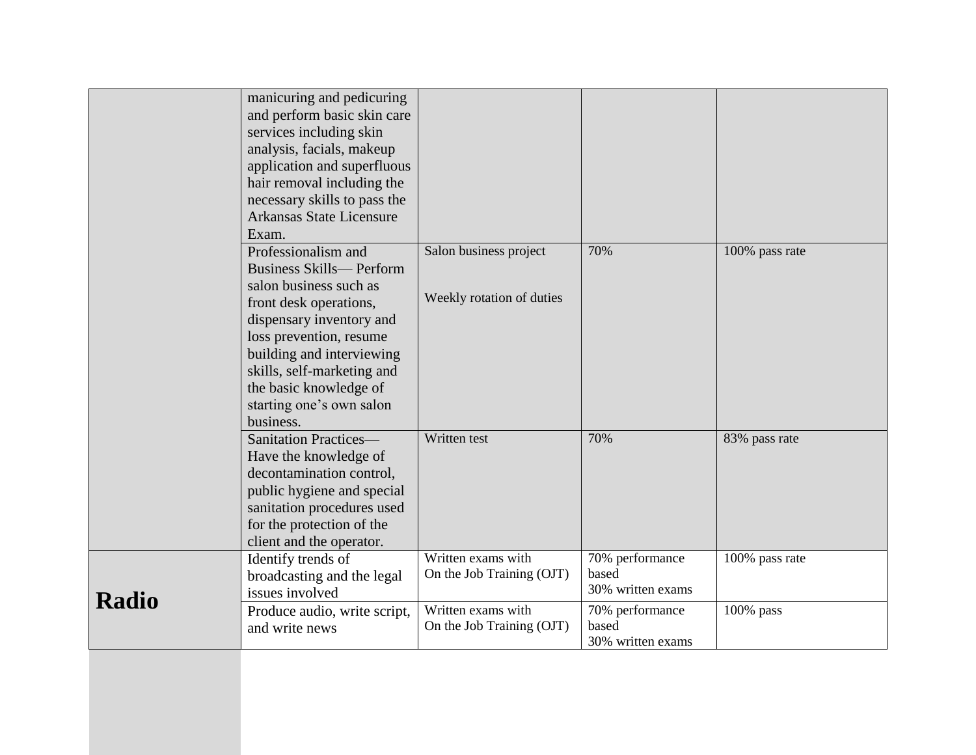|              | manicuring and pedicuring<br>and perform basic skin care<br>services including skin<br>analysis, facials, makeup<br>application and superfluous<br>hair removal including the<br>necessary skills to pass the<br>Arkansas State Licensure<br>Exam.                                              |                                                     |                                               |                |
|--------------|-------------------------------------------------------------------------------------------------------------------------------------------------------------------------------------------------------------------------------------------------------------------------------------------------|-----------------------------------------------------|-----------------------------------------------|----------------|
|              | Professionalism and<br><b>Business Skills— Perform</b><br>salon business such as<br>front desk operations,<br>dispensary inventory and<br>loss prevention, resume<br>building and interviewing<br>skills, self-marketing and<br>the basic knowledge of<br>starting one's own salon<br>business. | Salon business project<br>Weekly rotation of duties | 70%                                           | 100% pass rate |
|              | <b>Sanitation Practices-</b><br>Have the knowledge of<br>decontamination control,<br>public hygiene and special<br>sanitation procedures used<br>for the protection of the<br>client and the operator.                                                                                          | Written test                                        | 70%                                           | 83% pass rate  |
| <b>Radio</b> | Identify trends of<br>broadcasting and the legal<br>issues involved                                                                                                                                                                                                                             | Written exams with<br>On the Job Training (OJT)     | 70% performance<br>based<br>30% written exams | 100% pass rate |
|              | Produce audio, write script,<br>and write news                                                                                                                                                                                                                                                  | Written exams with<br>On the Job Training (OJT)     | 70% performance<br>based<br>30% written exams | $100\%$ pass   |
|              |                                                                                                                                                                                                                                                                                                 |                                                     |                                               |                |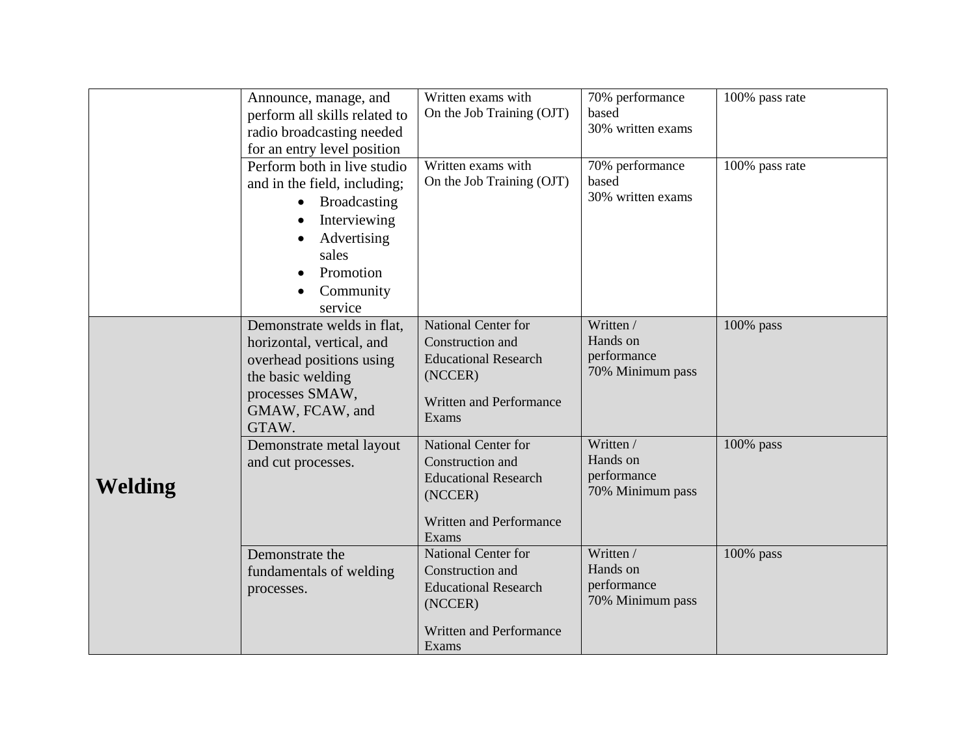|         | Announce, manage, and<br>perform all skills related to<br>radio broadcasting needed<br>for an entry level position                                              | Written exams with<br>On the Job Training (OJT)                                                                              | 70% performance<br>based<br>30% written exams            | 100% pass rate |
|---------|-----------------------------------------------------------------------------------------------------------------------------------------------------------------|------------------------------------------------------------------------------------------------------------------------------|----------------------------------------------------------|----------------|
|         | Perform both in live studio<br>and in the field, including;<br><b>Broadcasting</b><br>Interviewing<br>Advertising<br>sales<br>Promotion<br>Community<br>service | Written exams with<br>On the Job Training (OJT)                                                                              | 70% performance<br>based<br>30% written exams            | 100% pass rate |
|         | Demonstrate welds in flat,<br>horizontal, vertical, and<br>overhead positions using<br>the basic welding<br>processes SMAW,<br>GMAW, FCAW, and<br>GTAW.         | <b>National Center for</b><br>Construction and<br><b>Educational Research</b><br>(NCCER)<br>Written and Performance<br>Exams | Written /<br>Hands on<br>performance<br>70% Minimum pass | 100% pass      |
| Welding | Demonstrate metal layout<br>and cut processes.                                                                                                                  | National Center for<br>Construction and<br><b>Educational Research</b><br>(NCCER)<br>Written and Performance<br>Exams        | Written /<br>Hands on<br>performance<br>70% Minimum pass | 100% pass      |
|         | Demonstrate the<br>fundamentals of welding<br>processes.                                                                                                        | National Center for<br>Construction and<br><b>Educational Research</b><br>(NCCER)<br><b>Written and Performance</b><br>Exams | Written /<br>Hands on<br>performance<br>70% Minimum pass | 100% pass      |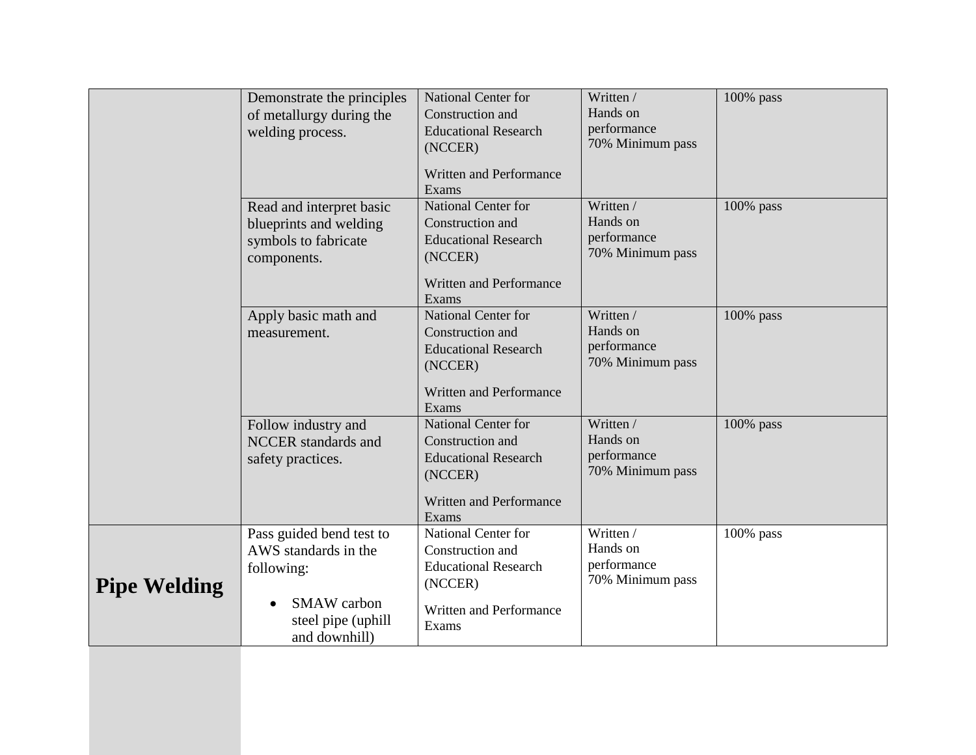|                     | Demonstrate the principles<br>of metallurgy during the<br>welding process.                                                  | <b>National Center for</b><br>Construction and<br><b>Educational Research</b><br>(NCCER)<br>Written and Performance<br>Exams | Written /<br>Hands on<br>performance<br>70% Minimum pass | 100% pass    |
|---------------------|-----------------------------------------------------------------------------------------------------------------------------|------------------------------------------------------------------------------------------------------------------------------|----------------------------------------------------------|--------------|
|                     | Read and interpret basic<br>blueprints and welding<br>symbols to fabricate<br>components.                                   | National Center for<br>Construction and<br><b>Educational Research</b><br>(NCCER)<br>Written and Performance<br>Exams        | Written /<br>Hands on<br>performance<br>70% Minimum pass | 100% pass    |
|                     | Apply basic math and<br>measurement.                                                                                        | <b>National Center for</b><br>Construction and<br><b>Educational Research</b><br>(NCCER)<br>Written and Performance<br>Exams | Written /<br>Hands on<br>performance<br>70% Minimum pass | $100\%$ pass |
|                     | Follow industry and<br>NCCER standards and<br>safety practices.                                                             | <b>National Center for</b><br>Construction and<br><b>Educational Research</b><br>(NCCER)<br>Written and Performance<br>Exams | Written /<br>Hands on<br>performance<br>70% Minimum pass | $100\%$ pass |
| <b>Pipe Welding</b> | Pass guided bend test to<br>AWS standards in the<br>following:<br><b>SMAW</b> carbon<br>steel pipe (uphill<br>and downhill) | National Center for<br>Construction and<br><b>Educational Research</b><br>(NCCER)<br>Written and Performance<br>Exams        | Written /<br>Hands on<br>performance<br>70% Minimum pass | $100\%$ pass |